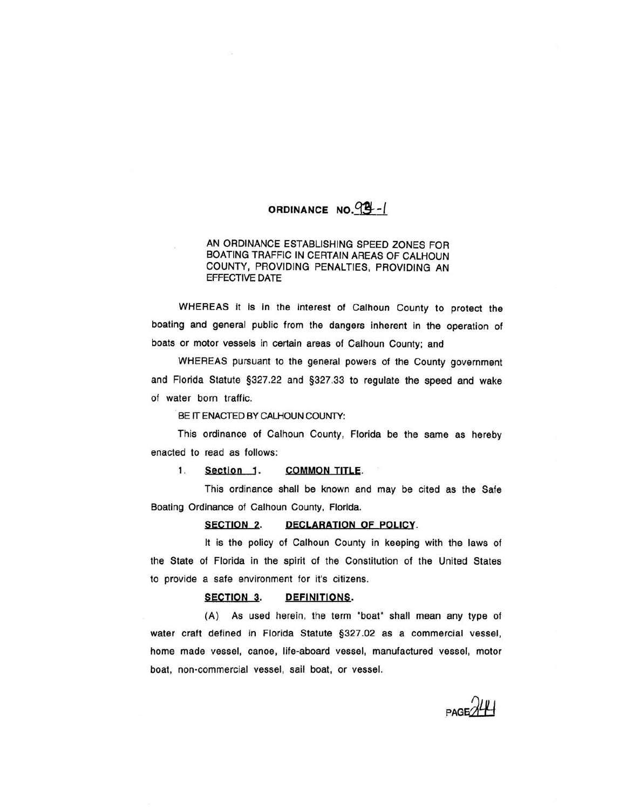# ORDINANCE NO.  $99 - 1$

## AN ORDINANCE ESTABLISHING SPEED ZONES FOR BOATING TRAFFIC IN CERTAIN AREAS OF CALHOUN COUNTY, PROVIDING PENALTIES, PROVIDING AN EFFECTIVE DATE

WHEREAS it is in the interest of Calhoun County to protect the boating and general public from the dangers inherent in the operation of boats or motor vessels in certain areas of Calhoun County; and

WHEREAS pursuant to the general powers of the County government and Florida Statute §327.22 and §327.33 to regulate the speed and wake of water born traffic.

#### BE IT ENACTED BY CALHOUN COUNTY:

This ordinance of Calhoun County, Florida be the same as hereby enacted to read as follows:

1. Section 1. COMMON TITLE.

This ordinance shall be known and may be cited as the Safe Boating Ordinance of Calhoun County, Florida.

SECTION 2. DECLARATION OF POLICY.

It is the policy of Calhoun County in keeping with the laws of the State of Florida in the spirit of the Constitution of the United States to provide a safe environment for it's citizens.

#### SECTION 3. DEFINITIONS.

(A) As used herein, the term "boat" shall mean any type of water craft defined in Florida Statute §327.02 as a commercial vessel, home made vessel, canoe, life-aboard vessel, manufactured vessel, motor boat, non-commercial vessel, sail boat, or vessel.

 $PAGE$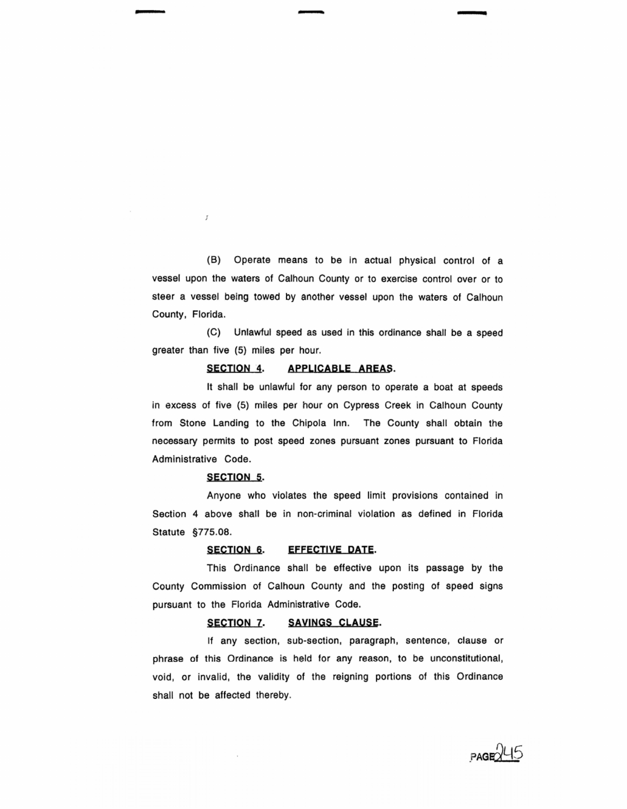(B) Operate means to be in actual physical control of a vessel upon the waters of Calhoun County or to exercise control over or to steer a vessel being towed by another vessel upon the waters of Calhoun County, Florida.

(C) Unlawful speed as used in this ordinance shall be a speed greater than five (5) miles per hour.

## SECTION 4. APPLICABLE AREAS.

It shall be unlawful for any person to operate a boat at speeds in excess of five (5) miles per hour on Cypress Creek in Calhoun County from Stone Landing to the Chipola Inn. The County shall obtain the necessary permits to post speed zones pursuant zones pursuant to Florida Administrative Code.

### SECTION 5.

- -

J

Anyone who violates the speed limit provisions contained in Section 4 above shall be in non-criminal violation as defined in Florida Statute §775.08.

### SECTION 6. EFFECTIVE DATE.

This Ordinance shall be effective upon its passage by the County Commission of Calhoun County and the posting of speed signs pursuant to the Florida Administrative Code.

## SECTION 7. SAVINGS CLAUSE.

If any section, sub-section, paragraph, sentence, clause or phrase of this Ordinance is held for any reason, to be unconstitutional, void, or invalid, the validity of the reigning portions of this Ordinance shall not be affected thereby.